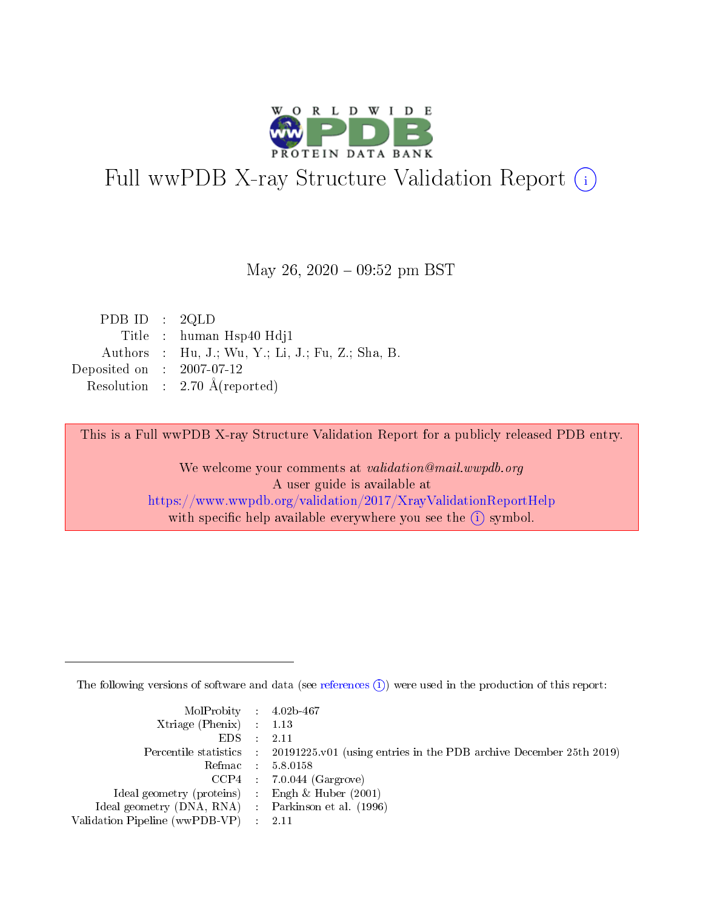

# Full wwPDB X-ray Structure Validation Report (i)

#### May 26,  $2020 - 09:52$  pm BST

| PDB ID : $2QLD$                                   |
|---------------------------------------------------|
| Title : human Hsp40 Hdj1                          |
| Authors : Hu, J.; Wu, Y.; Li, J.; Fu, Z.; Sha, B. |
| Deposited on : $2007-07-12$                       |
| Resolution : $2.70 \text{ Å}$ (reported)          |
|                                                   |

This is a Full wwPDB X-ray Structure Validation Report for a publicly released PDB entry.

We welcome your comments at validation@mail.wwpdb.org A user guide is available at <https://www.wwpdb.org/validation/2017/XrayValidationReportHelp> with specific help available everywhere you see the  $(i)$  symbol.

The following versions of software and data (see [references](https://www.wwpdb.org/validation/2017/XrayValidationReportHelp#references)  $(i)$ ) were used in the production of this report:

| MolProbity : 4.02b-467                              |                                                                                                    |
|-----------------------------------------------------|----------------------------------------------------------------------------------------------------|
| Xtriage (Phenix) $: 1.13$                           |                                                                                                    |
| $EDS = 2.11$                                        |                                                                                                    |
|                                                     | Percentile statistics : $20191225 \times 01$ (using entries in the PDB archive December 25th 2019) |
|                                                     | Refmac : 5.8.0158                                                                                  |
|                                                     | $CCP4$ 7.0.044 (Gargrove)                                                                          |
| Ideal geometry (proteins) : Engh $\&$ Huber (2001)  |                                                                                                    |
| Ideal geometry (DNA, RNA) : Parkinson et al. (1996) |                                                                                                    |
| Validation Pipeline (wwPDB-VP) : 2.11               |                                                                                                    |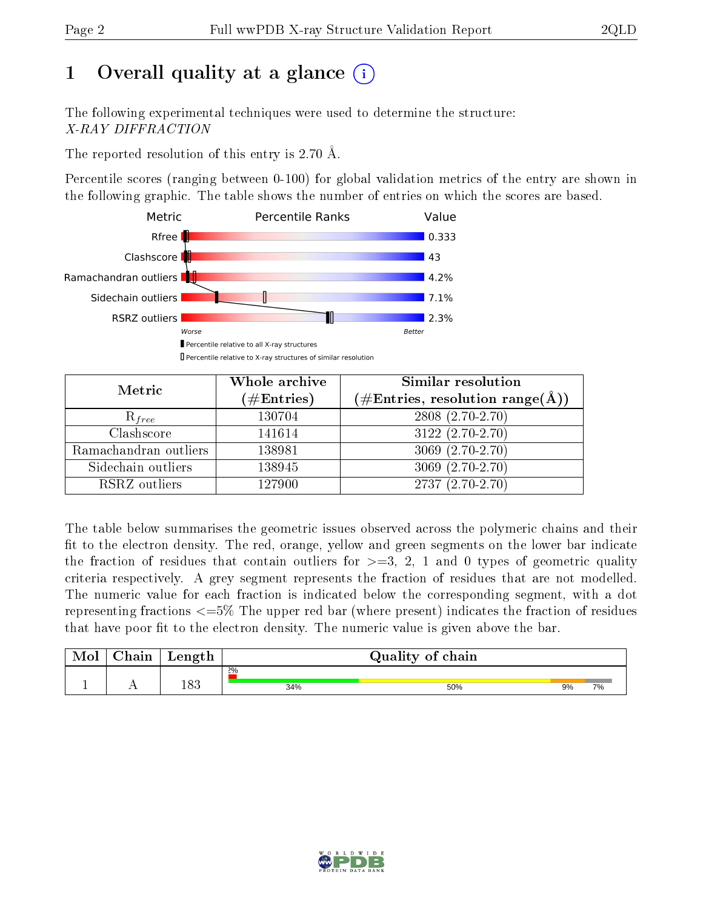# 1 [O](https://www.wwpdb.org/validation/2017/XrayValidationReportHelp#overall_quality)verall quality at a glance  $(i)$

The following experimental techniques were used to determine the structure: X-RAY DIFFRACTION

The reported resolution of this entry is 2.70 Å.

Percentile scores (ranging between 0-100) for global validation metrics of the entry are shown in the following graphic. The table shows the number of entries on which the scores are based.



| Metric                | Whole archive<br>$(\#\text{Entries})$ | Similar resolution<br>$(\#\text{Entries},\, \text{resolution}\; \text{range}(\textup{\AA}))$ |
|-----------------------|---------------------------------------|----------------------------------------------------------------------------------------------|
| $R_{free}$            | 130704                                | $2808(2.70-2.70)$                                                                            |
| Clashscore            | 141614                                | $3122(2.70-2.70)$                                                                            |
| Ramachandran outliers | 138981                                | $3069(2.70-2.70)$                                                                            |
| Sidechain outliers    | 138945                                | $3069(2.70-2.70)$                                                                            |
| RSRZ outliers         | 127900                                | $2737(2.70-2.70)$                                                                            |

The table below summarises the geometric issues observed across the polymeric chains and their fit to the electron density. The red, orange, yellow and green segments on the lower bar indicate the fraction of residues that contain outliers for  $>=3, 2, 1$  and 0 types of geometric quality criteria respectively. A grey segment represents the fraction of residues that are not modelled. The numeric value for each fraction is indicated below the corresponding segment, with a dot representing fractions <=5% The upper red bar (where present) indicates the fraction of residues that have poor fit to the electron density. The numeric value is given above the bar.

| Mol | $\sim$ 1<br>hain | Length |       | Quality of chain |    |    |
|-----|------------------|--------|-------|------------------|----|----|
|     |                  |        | $2\%$ |                  |    |    |
| л.  | . .              | 183    | 34%   | 50%              | 9% | 7% |

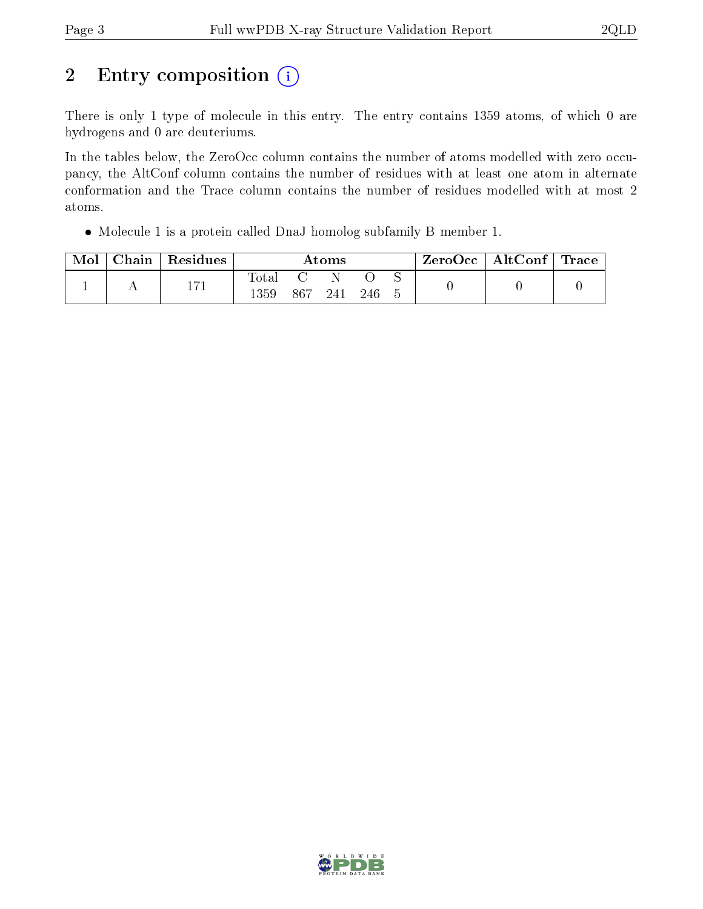# 2 Entry composition (i)

There is only 1 type of molecule in this entry. The entry contains 1359 atoms, of which 0 are hydrogens and 0 are deuteriums.

In the tables below, the ZeroOcc column contains the number of atoms modelled with zero occupancy, the AltConf column contains the number of residues with at least one atom in alternate conformation and the Trace column contains the number of residues modelled with at most 2 atoms.

Molecule 1 is a protein called DnaJ homolog subfamily B member 1.

| Mol | Chain   Residues | Atoms               |     |     | $\text{ZeroOcc} \mid \text{AltConf} \mid \text{Trace}$ |  |  |  |
|-----|------------------|---------------------|-----|-----|--------------------------------------------------------|--|--|--|
|     | 171              | $\rm Total$<br>1359 | 867 | 241 | -246                                                   |  |  |  |

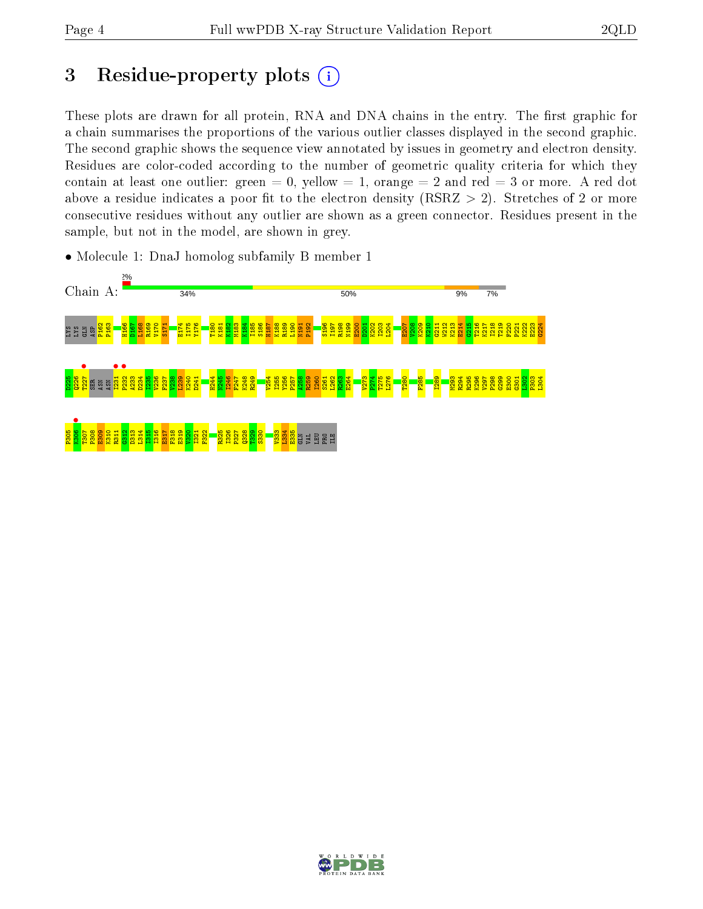# 3 Residue-property plots  $(i)$

These plots are drawn for all protein, RNA and DNA chains in the entry. The first graphic for a chain summarises the proportions of the various outlier classes displayed in the second graphic. The second graphic shows the sequence view annotated by issues in geometry and electron density. Residues are color-coded according to the number of geometric quality criteria for which they contain at least one outlier: green  $= 0$ , yellow  $= 1$ , orange  $= 2$  and red  $= 3$  or more. A red dot above a residue indicates a poor fit to the electron density (RSRZ  $> 2$ ). Stretches of 2 or more consecutive residues without any outlier are shown as a green connector. Residues present in the sample, but not in the model, are shown in grey.



• Molecule 1: DnaJ homolog subfamily B member 1

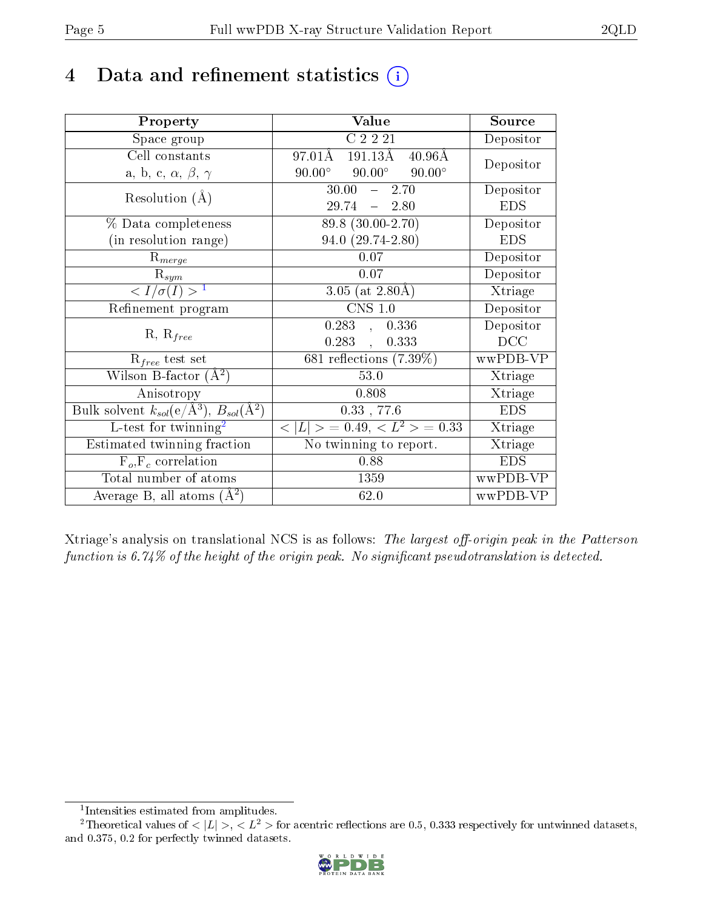# 4 Data and refinement statistics  $(i)$

| Property                                                             | Value                                            | Source         |
|----------------------------------------------------------------------|--------------------------------------------------|----------------|
| Space group                                                          | C2221                                            | Depositor      |
| Cell constants                                                       | 191.13Å<br>97.01Å<br>$40.96\text{\AA}$           | Depositor      |
| a, b, c, $\alpha$ , $\beta$ , $\gamma$                               | $90.00^{\circ}$ $90.00^{\circ}$<br>$90.00^\circ$ |                |
| Resolution $(A)$                                                     | $30.00$ <sup>-</sup><br>$-2.70$                  | Depositor      |
|                                                                      | $29.74 - 2.80$                                   | <b>EDS</b>     |
| % Data completeness                                                  | 89.8 (30.00-2.70)                                | Depositor      |
| (in resolution range)                                                | $94.0(29.74-2.80)$                               | <b>EDS</b>     |
| $R_{merge}$                                                          | 0.07                                             | Depositor      |
| $\mathrm{R}_{sym}$                                                   | 0.07                                             | Depositor      |
| $\langle I/\sigma(I) \rangle^{-1}$                                   | 3.05 (at $2.80\text{\AA}$ )                      | Xtriage        |
| Refinement program                                                   | $CNS$ 1.0                                        | Depositor      |
| $R, R_{free}$                                                        | 0.283,<br>0.336                                  | Depositor      |
|                                                                      | 0.283,<br>0.333                                  | DCC            |
| $\mathcal{R}_{free}$ test set                                        | $681$ reflections $(7.39\%)$                     | wwPDB-VP       |
| Wilson B-factor $(A^2)$                                              | 53.0                                             | Xtriage        |
| Anisotropy                                                           | 0.808                                            | <b>Xtriage</b> |
| Bulk solvent $k_{sol}(e/\mathring{A}^3)$ , $B_{sol}(\mathring{A}^2)$ | $0.33$ , 77.6                                    | <b>EDS</b>     |
| L-test for twinning <sup>2</sup>                                     | $< L >$ = 0.49, $< L^2 >$ = 0.33                 | Xtriage        |
| Estimated twinning fraction                                          | No twinning to report.                           | Xtriage        |
| $F_o, F_c$ correlation                                               | 0.88                                             | <b>EDS</b>     |
| Total number of atoms                                                | 1359                                             | wwPDB-VP       |
| Average B, all atoms $(A^2)$                                         | 62.0                                             | wwPDB-VP       |

Xtriage's analysis on translational NCS is as follows: The largest off-origin peak in the Patterson function is  $6.74\%$  of the height of the origin peak. No significant pseudotranslation is detected.

<sup>&</sup>lt;sup>2</sup>Theoretical values of  $\langle |L| \rangle$ ,  $\langle L^2 \rangle$  for acentric reflections are 0.5, 0.333 respectively for untwinned datasets, and 0.375, 0.2 for perfectly twinned datasets.



<span id="page-4-1"></span><span id="page-4-0"></span><sup>1</sup> Intensities estimated from amplitudes.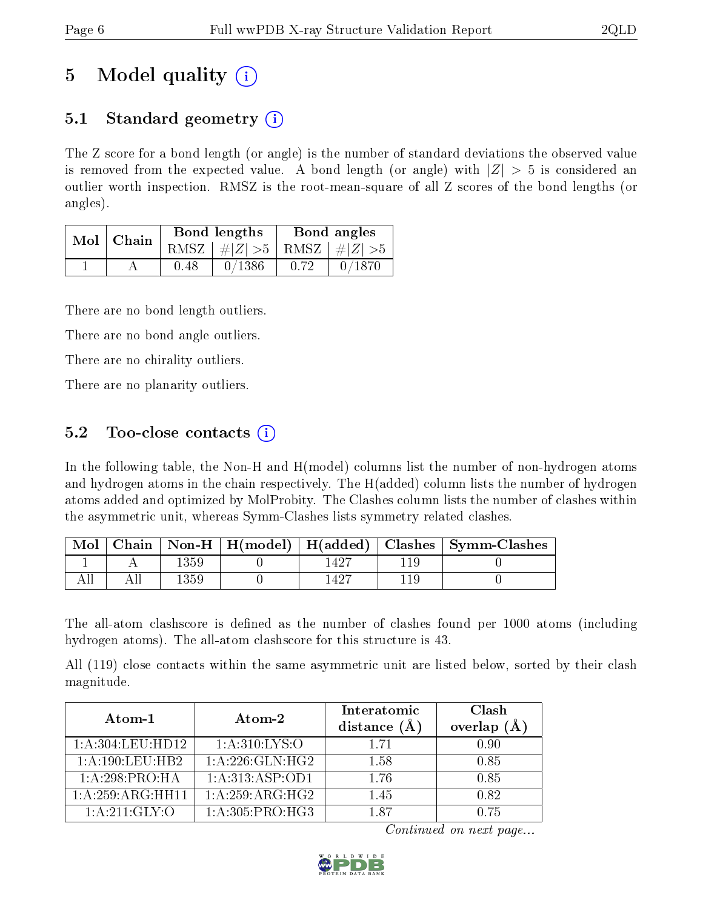# 5 Model quality  $(i)$

## 5.1 Standard geometry  $\overline{()}$

The Z score for a bond length (or angle) is the number of standard deviations the observed value is removed from the expected value. A bond length (or angle) with  $|Z| > 5$  is considered an outlier worth inspection. RMSZ is the root-mean-square of all Z scores of the bond lengths (or angles).

| Mol   Chain |      | Bond lengths                    |      | Bond angles |
|-------------|------|---------------------------------|------|-------------|
|             |      | RMSZ $ #Z  > 5$ RMSZ $ #Z  > 5$ |      |             |
|             | 0.48 | 0/1386                          | 0.72 | 0/1870      |

There are no bond length outliers.

There are no bond angle outliers.

There are no chirality outliers.

There are no planarity outliers.

### 5.2 Too-close contacts  $\overline{()}$

In the following table, the Non-H and H(model) columns list the number of non-hydrogen atoms and hydrogen atoms in the chain respectively. The H(added) column lists the number of hydrogen atoms added and optimized by MolProbity. The Clashes column lists the number of clashes within the asymmetric unit, whereas Symm-Clashes lists symmetry related clashes.

| $\operatorname{Mol}$ |      |       | Chain   Non-H   H(model)   H(added)   Clashes   Symm-Clashes |
|----------------------|------|-------|--------------------------------------------------------------|
|                      | ،359 |       |                                                              |
|                      | .359 | -1427 |                                                              |

The all-atom clashscore is defined as the number of clashes found per 1000 atoms (including hydrogen atoms). The all-atom clashscore for this structure is 43.

All (119) close contacts within the same asymmetric unit are listed below, sorted by their clash magnitude.

| Atom-1              | $\boldsymbol{\mathrm{Atom}\text{-}2}$ | Interatomic<br>distance $(A)$ | Clash<br>overlap<br>(Ă |
|---------------------|---------------------------------------|-------------------------------|------------------------|
| 1: A:304:LEU:HD12   | 1: A:310: LYS:O                       | 1 71                          | 0.90                   |
| 1: A: 190: LEU: HB2 | 1:A:226:GLN:HG2                       | 1.58                          | 0.85                   |
| 1:A:298:PRO:HA      | 1: A:313: ASP:OD1                     | 1.76                          | 0.85                   |
| 1:A:259:ARG:HH11    | 1:A:259:ARG:HG2                       | 1.45                          | 0.82                   |
| 1: A:211: GLY:O     | 1:A:305:PRO:HG3                       | 187                           | 0.75                   |

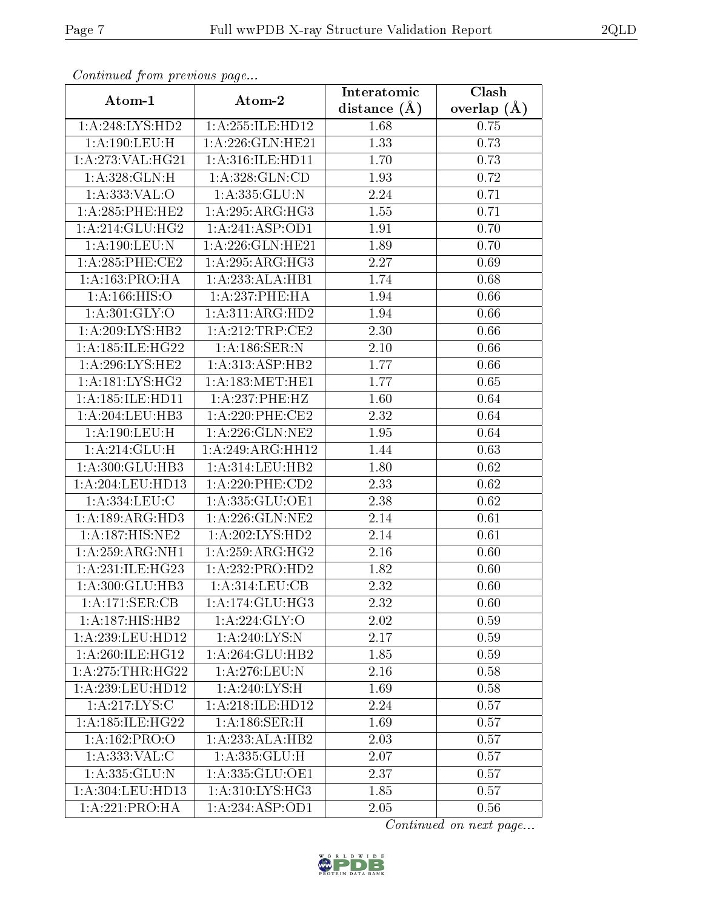| сонинией јтоні ртеоючв риде |                                   | Interatomic       | Clash         |
|-----------------------------|-----------------------------------|-------------------|---------------|
| Atom-1                      | Atom-2                            | distance $(\AA)$  | overlap $(A)$ |
| 1:A:248:LYS:HD2             | 1:A:255:ILE:HD12                  | 1.68              | 0.75          |
| 1:A:190:LEU:H               | $1:$ A:226:GLN:HE21               | 1.33              | 0.73          |
| 1:A:273:VAL:HG21            | 1: A:316: ILE: HD11               | 1.70              | 0.73          |
| 1:A:328:GLN:H               | 1: A: 328: GLN: CD                | 1.93              | 0.72          |
| 1: A: 333: VAL: O           | 1: A: 335: GLU:N                  | 2.24              | 0.71          |
| 1: A:285:PHE:HE2            | 1: A:295:ARG:HG3                  | 1.55              | 0.71          |
| 1: A:214:GLU:HG2            | 1: A:241: ASP:OD1                 | $\overline{1}.91$ | 0.70          |
| 1:A:190:LEU:N               | 1:A:226:GLN:HE21                  | 1.89              | 0.70          |
| 1: A:285:PHE:CE2            | 1: A:295: ARG:HG3                 | 2.27              | 0.69          |
| 1:A:163:PRO:HA              | 1:A:233:ALA:HB1                   | 1.74              | 0.68          |
| 1: A: 166: HIS: O           | 1: A:237:PHE:HA                   | 1.94              | 0.66          |
| 1: A:301: GLY:O             | 1:A:311:ARG:HD2                   | 1.94              | 0.66          |
| 1: A:209:LYS:HB2            | 1: A:212:TRP:CE2                  | 2.30              | 0.66          |
| 1:A:185:ILE:HG22            | 1: A:186: SER: N                  | 2.10              | 0.66          |
| 1: A:296:LYS:HE2            | 1:A:313:ASP:HB2                   | 1.77              | 0.66          |
| 1: A: 181: LYS: HG2         | 1: A: 183:MET:HE1                 | 1.77              | 0.65          |
| 1: A: 185: ILE: HD11        | 1:A:237:PHE:HZ                    | 1.60              | 0.64          |
| 1: A:204:LEU:HB3            | $1: A:220:$ PHE:CE2               | 2.32              | 0.64          |
| 1:A:190:LEU:H               | 1:A:226:GLN:NE2                   | 1.95              | 0.64          |
| 1: A:214: GLU: H            | 1:A:249:ARG:HH12                  | 1.44              | 0.63          |
| 1:A:300:GLU:HB3             | 1:A:314:LEU:HB2                   | 1.80              | 0.62          |
| 1: A:204:LEU:HD13           | $1: A:220:$ PHE:CD2               | 2.33              | 0.62          |
| 1:A:334:LEU:C               | 1:A:335:GLU:OE1                   | 2.38              | 0.62          |
| 1: A: 189: ARG: HD3         | $1:$ A:226: $GLN:NE2$             | 2.14              | 0.61          |
| 1:A:187:HIS:NE2             | 1:A:202:LYS:HD2                   | $\overline{2}.14$ | 0.61          |
| 1:A:259:ARG:NH1             | 1:A:259:ARG:HG2                   | 2.16              | 0.60          |
| 1:A:231:ILE:HG23            | 1:A:232:PRO:HD2                   | 1.82              | 0.60          |
| 1:A:300:GLU:HB3             | 1: A:314:LEU:CB                   | 2.32              | 0.60          |
| 1:A:171:SER:CB              | 1: A:174: GLU: HG3                | 2.32              | 0.60          |
| 1:A:187:HIS:HB2             | 1:A:224:GLY:O                     | 2.02              | 0.59          |
| 1:A:239:LEU:HD12            | 1:A:240:LYS:N                     | 2.17              | 0.59          |
| 1: A:260: ILE: HG12         | 1:A:264:GLU:HB2                   | 1.85              | 0.59          |
| 1:A:275:THR:HG22            | 1:A:276:LEU:N                     | 2.16              | 0.58          |
| 1: A:239:LEU:HD12           | $1:A:240:\overline{\text{LYS:H}}$ | 1.69              | 0.58          |
| 1: A:217: LYS:C             | 1:A:218:ILE:HD12                  | 2.24              | 0.57          |
| 1:A:185:ILE:HG22            | 1:A:186:SER:H                     | 1.69              | 0.57          |
| 1:A:162:PRO:O               | 1:A:233:ALA:HB2                   | 2.03              | 0.57          |
| 1: A: 333: VAL: C           | 1: A: 335: GLU: H                 | 2.07              | 0.57          |
| 1:A:335:GLU:N               | 1: A: 335: GLU: OE1               | 2.37              | 0.57          |
| 1:A:304:LEU:HD13            | 1:A:310:LYS:HG3                   | 1.85              | 0.57          |
| 1:A:221:PRO:HA              | 1:A:234:ASP:OD1                   | 2.05              | 0.56          |

Continued from previous page.

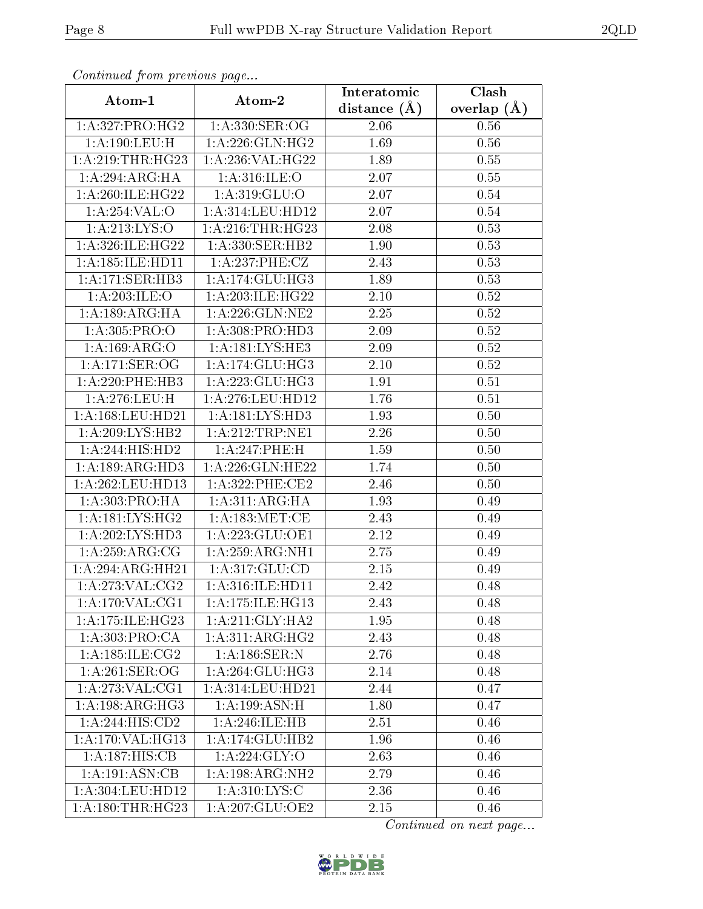| Continuea from previous page |                                                                                                                                                                                       | Interatomic    | Clash         |
|------------------------------|---------------------------------------------------------------------------------------------------------------------------------------------------------------------------------------|----------------|---------------|
| Atom-1                       | Atom-2                                                                                                                                                                                | distance $(A)$ | overlap $(A)$ |
| 1: A:327: PRO:HG2            | 1: A:330: SER:OG                                                                                                                                                                      | 2.06           | 0.56          |
| 1:A:190:LEU:H                | 1:A:226:GLN:HG2                                                                                                                                                                       | 1.69           | 0.56          |
| 1: A:219:THR:HG23            | 1:A:236:VAL:HG22                                                                                                                                                                      | 1.89           | 0.55          |
| 1:A:294:ARG:HA               | 1: A:316: ILE: O                                                                                                                                                                      | 2.07           | 0.55          |
| 1:A:260:ILE:HG22             | 1: A:319: GLU:O                                                                                                                                                                       | 2.07           | $0.54\,$      |
| 1:A:254:VAL:O                | 1:A:314:LEU:HD12                                                                                                                                                                      | 2.07           | 0.54          |
| 1: A: 213: LYS:O             | 1: A:216:THR:HG23                                                                                                                                                                     | 2.08           | 0.53          |
| 1: A:326: ILE: HG22          | $1: A: 330:$ SER:HB2                                                                                                                                                                  | 1.90           | 0.53          |
| 1: A: 185: ILE: HD11         | $1: A:237:$ PHE:CZ                                                                                                                                                                    | 2.43           | 0.53          |
| 1:A:171:SER:HB3              | 1: A:174: GLU: HG3                                                                                                                                                                    | 1.89           | 0.53          |
| 1:A:203:ILE:O                | 1:A:203:ILE:HG22                                                                                                                                                                      | 2.10           | 0.52          |
| 1: A: 189: ARG: HA           | 1: A:226: GLN: NE2                                                                                                                                                                    | 2.25           | 0.52          |
| 1: A:305: PRO:O              | 1: A:308: PRO:HD3                                                                                                                                                                     | 2.09           | 0.52          |
| 1:A:169:ARG:O                | 1:A:181:LYS:HE3                                                                                                                                                                       | 2.09           | 0.52          |
| 1:A:171:SER:OG               | 1: A:174: GLU: HG3                                                                                                                                                                    | 2.10           | 0.52          |
| $1: A:220:$ PHE:HB3          | $1:\stackrel{\textstyle\mathbf{A}}{1}:\stackrel{\textstyle 2}{2}23:\stackrel{\textstyle\mathbf{GL}}{1}\cup \stackrel{\textstyle\mathbf{H}}{1}\cup \stackrel{\textstyle\mathbf{G}}{3}$ | 1.91           | 0.51          |
| 1:A:276:LEU:H                | 1:A:276:LEU:HD12                                                                                                                                                                      | 1.76           | 0.51          |
| 1: A: 168: LEU: HD21         | 1: A: 181: LYS: HD3                                                                                                                                                                   | 1.93           | 0.50          |
| 1: A:209: LYS: HB2           | 1:A:212:TRP:NE1                                                                                                                                                                       | 2.26           | 0.50          |
| 1:A:244:HIS:HD2              | 1:A:247:PHE:H                                                                                                                                                                         | 1.59           | 0.50          |
| 1: A: 189: ARG: HD3          | 1:A:226:GLN:HE22                                                                                                                                                                      | 1.74           | 0.50          |
| $1:$ A:262:LEU:HD13          | 1:A:322:PHE:CE2                                                                                                                                                                       | 2.46           | 0.50          |
| 1:A:303:PRO:HA               | 1:A:311:ARG:HA                                                                                                                                                                        | 1.93           | 0.49          |
| 1: A: 181: LYS: HG2          | 1: A: 183:MET:CE                                                                                                                                                                      | 2.43           | 0.49          |
| 1:A:202:LYS:HD3              | 1:A:223:GLU:OE1                                                                                                                                                                       | 2.12           | 0.49          |
| 1: A:259:ARG:CG              | 1: A:259:ARG:NH1                                                                                                                                                                      | 2.75           | 0.49          |
| 1:A:294:ARG:HH21             | 1:A:317:GLU:CD                                                                                                                                                                        | 2.15           | 0.49          |
| 1: A:273: VAL:CG2            | 1: A:316: ILE: HD11                                                                                                                                                                   | 2.42           | 0.48          |
| 1: A:170: VAL:CG1            | 1:A:175:ILE:HG13                                                                                                                                                                      | 2.43           | 0.48          |
| 1:A:175:ILE:HG23             | 1:A:211:GLY:HA2                                                                                                                                                                       | 1.95           | 0.48          |
| 1:A:303:PRO:CA               | 1: A:311: ARG: HG2                                                                                                                                                                    | 2.43           | 0.48          |
| 1: A:185: ILE:CG2            | $1: A:186:$ SER:N                                                                                                                                                                     | 2.76           | 0.48          |
| 1: A:261:SER:OG              | 1:A:264:GLU:HG3                                                                                                                                                                       | 2.14           | 0.48          |
| 1: A:273: VAL:CG1            | 1:A:314:LEU:HD21                                                                                                                                                                      | 2.44           | 0.47          |
| 1:A:198:ARG:HG3              | 1: A: 199: ASN:H                                                                                                                                                                      | 1.80           | 0.47          |
| 1:A:244:HIS:CD2              | 1:A:246:ILE:HB                                                                                                                                                                        | 2.51           | 0.46          |
| 1:A:170:VAL:HG13             | 1:A:174:GLU:HB2                                                                                                                                                                       | 1.96           | 0.46          |
| 1:A:187:HIS:CB               | 1:A:224:GLY:O                                                                                                                                                                         | 2.63           | 0.46          |
| 1:A:191:ASN:CB               | 1:A:198:ARG:NH2                                                                                                                                                                       | 2.79           | 0.46          |
| 1:A:304:LEU:HD12             | 1: A:310: LYS: C                                                                                                                                                                      | 2.36           | 0.46          |
| 1:A:180:THR:HG23             | 1:A:207:GLU:OE2                                                                                                                                                                       | 2.15           | 0.46          |

Continued from previous page.

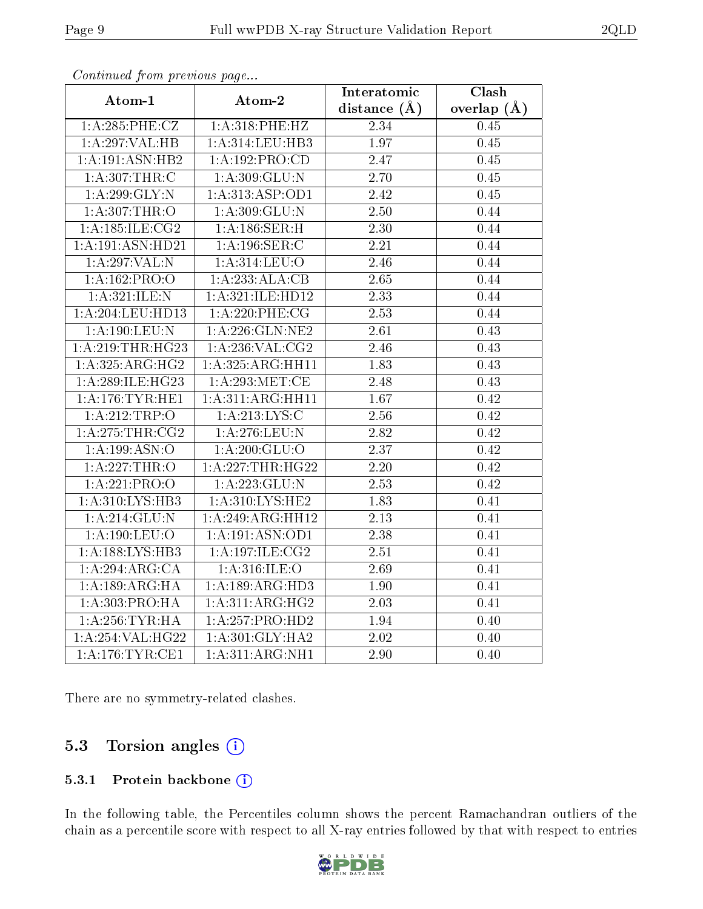| Atom-1              | Atom-2             | Interatomic        | Clash           |
|---------------------|--------------------|--------------------|-----------------|
|                     |                    | distance $(A)$     | overlap $(\AA)$ |
| 1:A:285:PHE:CZ      | 1:A:318:PHE:HZ     | 2.34               | 0.45            |
| 1:A:297:VAL:HB      | 1:A:314:LEU:HB3    | 1.97               | 0.45            |
| 1: A:191: ASN:HB2   | 1: A: 192: PRO:CD  | 2.47               | 0.45            |
| 1: A:307:THR:C      | 1: A:309: GLU:N    | 2.70               | 0.45            |
| 1:A:299:GLY:N       | 1:A:313:ASP:OD1    | 2.42               | 0.45            |
| 1: A:307:THR:O      | 1:A:309:GLU:N      | 2.50               | 0.44            |
| 1: A:185: ILE: CG2  | 1:A:186:SER:H      | $\overline{2.30}$  | 0.44            |
| 1:A:191:ASN:HD21    | 1: A: 196: SER: C  | 2.21               | 0.44            |
| 1:A:297:VAL:N       | 1:A:314:LEU:O      | 2.46               | 0.44            |
| 1:A:162:PRO:O       | 1:A:233:ALA:CB     | 2.65               | 0.44            |
| 1: A:321: ILE:N     | 1:A:321:ILE:HD12   | $\overline{2.33}$  | 0.44            |
| 1:A:204:LEU:HD13    | 1:A:220:PHE:CG     | 2.53               | 0.44            |
| 1: A: 190: LEU: N   | 1: A:226: GLN: NE2 | 2.61               | 0.43            |
| 1: A:219:THR:HG23   | 1: A:236: VAL: CG2 | 2.46               | 0.43            |
| 1: A: 325: ARG: HG2 | 1:A:325:ARG:HH11   | $\overline{1}$ .83 | 0.43            |
| 1:A:289:ILE:HG23    | 1: A:293:MET:CE    | 2.48               | 0.43            |
| 1: A:176:TYR:HE1    | 1:A:311:ARG:HH11   | 1.67               | 0.42            |
| 1:A:212:TRP:O       | 1: A: 213: LYS: C  | $2.56\,$           | $0.42\,$        |
| 1:A:275:THR:CG2     | 1: A:276:LEU:N     | 2.82               | 0.42            |
| 1:A:199:ASN:O       | 1: A:200: GLU:O    | 2.37               | 0.42            |
| 1: A:227:THR:O      | 1:A:227:THR:HG22   | $\overline{2.20}$  | 0.42            |
| 1:A:221:PRO:O       | 1:A:223:GLU:N      | 2.53               | 0.42            |
| 1: A:310: LYS: HB3  | 1: A:310: LYS: HE2 | 1.83               | 0.41            |
| 1: A:214: GLU:N     | 1:A:249:ARG:HH12   | 2.13               | 0.41            |
| 1: A: 190: LEU: O   | 1:A:191:ASN:OD1    | 2.38               | 0.41            |
| 1:A:188:LYS:HB3     | 1:A:197:ILE:CG2    | 2.51               | 0.41            |
| 1:A:294:ARG:CA      | 1: A:316: ILE: O   | 2.69               | 0.41            |
| 1: A: 189: ARG: HA  | 1:A:189:ARG:HD3    | $\overline{1.90}$  | 0.41            |
| 1:A:303:PRO:HA      | 1:A:311:ARG:HG2    | 2.03               | 0.41            |
| 1: A:256:TYR:HA     | 1:A:257:PRO:HD2    | 1.94               | 0.40            |
| 1:A:254:VAL:HG22    | 1: A:301: GLY:HA2  | 2.02               | 0.40            |
| 1: A:176:TYR:CE1    | 1: A:311:ARG:NH1   | 2.90               | 0.40            |

Continued from previous page...

There are no symmetry-related clashes.

### 5.3 Torsion angles  $(i)$

#### 5.3.1 Protein backbone (i)

In the following table, the Percentiles column shows the percent Ramachandran outliers of the chain as a percentile score with respect to all X-ray entries followed by that with respect to entries

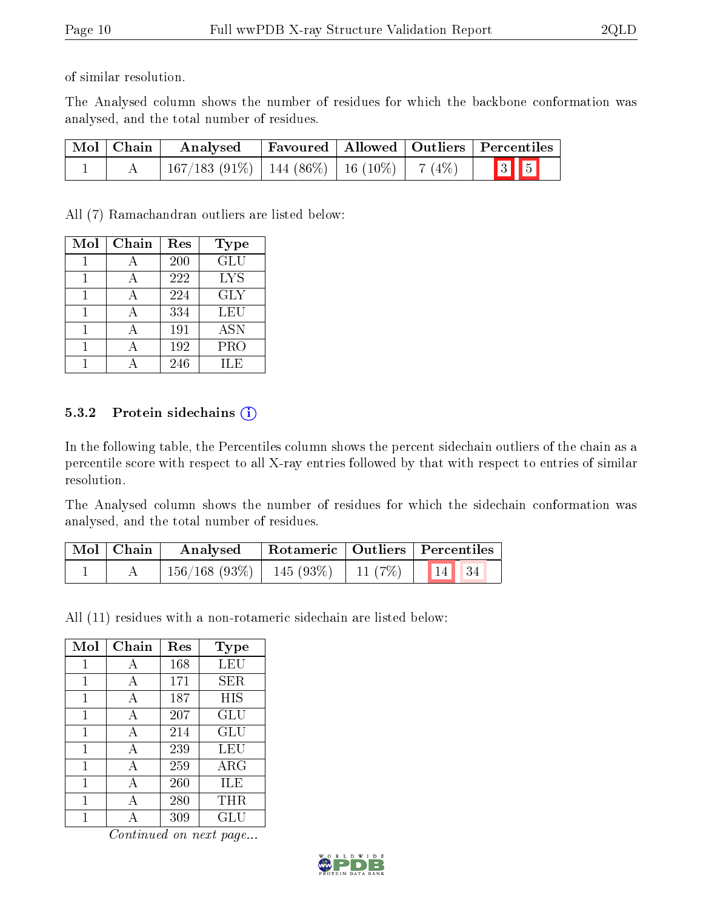of similar resolution.

The Analysed column shows the number of residues for which the backbone conformation was analysed, and the total number of residues.

| $\mid$ Mol $\mid$ Chain $\mid$ | Analysed                                            |  | Favoured   Allowed   Outliers   Percentiles |
|--------------------------------|-----------------------------------------------------|--|---------------------------------------------|
|                                | $167/183$ (91\%)   144 (86\%)   16 (10\%)   7 (4\%) |  | $\boxed{3}$ $\boxed{5}$                     |

All (7) Ramachandran outliers are listed below:

| Mol | Chain | Res | Type       |
|-----|-------|-----|------------|
|     |       | 200 | GLU        |
|     |       | 222 | <b>LYS</b> |
|     |       | 224 | <b>GLY</b> |
|     |       | 334 | LEU        |
|     | А     | 191 | <b>ASN</b> |
|     |       | 192 | PRO        |
|     |       | 246 | ĦЕ         |

#### 5.3.2 Protein sidechains  $(i)$

In the following table, the Percentiles column shows the percent sidechain outliers of the chain as a percentile score with respect to all X-ray entries followed by that with respect to entries of similar resolution.

The Analysed column shows the number of residues for which the sidechain conformation was analysed, and the total number of residues.

| Mol   Chain | Analysed                                 | Rotameric   Outliers   Percentiles |                       |
|-------------|------------------------------------------|------------------------------------|-----------------------|
|             | $156/168$ (93\%)   145 (93\%)   11 (7\%) |                                    | $\vert$ 14 $\vert$ 34 |

All (11) residues with a non-rotameric sidechain are listed below:

| Mol | Chain        | Res | Type        |
|-----|--------------|-----|-------------|
| 1   | А            | 168 | LEU         |
| 1   | $\mathbf{A}$ | 171 | SER         |
| 1   | A            | 187 | HIS         |
| 1   | A            | 207 | GLU         |
| 1   | A            | 214 | GLU         |
| 1   | A            | 239 | LEU         |
| 1   | A            | 259 | ${\rm ARG}$ |
| 1   | A            | 260 | ILE         |
| 1   | А            | 280 | <b>THR</b>  |
| 1   |              | 309 | GLU         |

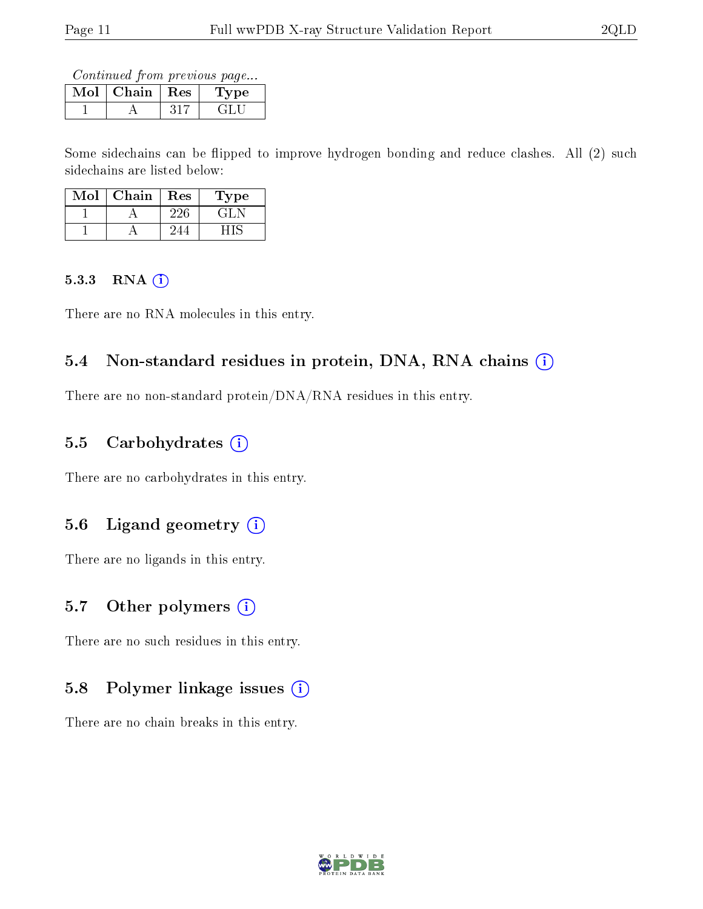Continued from previous page...

| Mol | Chain | $\perp$ Res | ype |
|-----|-------|-------------|-----|
|     |       |             |     |

Some sidechains can be flipped to improve hydrogen bonding and reduce clashes. All (2) such sidechains are listed below:

| Mol | Chain | $\operatorname{Res}$ | Type  |
|-----|-------|----------------------|-------|
|     |       | 226                  | ा ‡ि⊵ |
|     |       |                      |       |

#### 5.3.3 RNA (i)

There are no RNA molecules in this entry.

### 5.4 Non-standard residues in protein, DNA, RNA chains (i)

There are no non-standard protein/DNA/RNA residues in this entry.

### 5.5 Carbohydrates  $(i)$

There are no carbohydrates in this entry.

### 5.6 Ligand geometry  $(i)$

There are no ligands in this entry.

### 5.7 [O](https://www.wwpdb.org/validation/2017/XrayValidationReportHelp#nonstandard_residues_and_ligands)ther polymers  $(i)$

There are no such residues in this entry.

### 5.8 Polymer linkage issues (i)

There are no chain breaks in this entry.